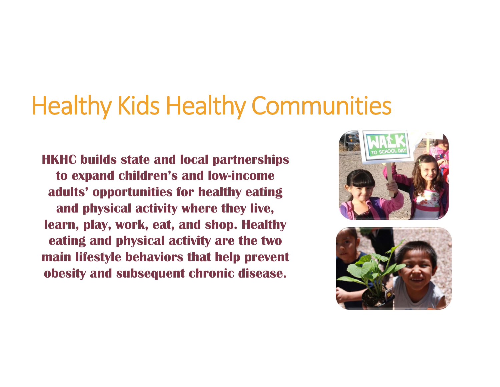## Healthy Kids Healthy Communities

**HKHC builds state and local partnerships to expand children's and low-income adults' opportunities for healthy eating and physical activity where they live, learn, play, work, eat, and shop. Healthy eating and physical activity are the two main lifestyle behaviors that help prevent obesity and subsequent chronic disease.**



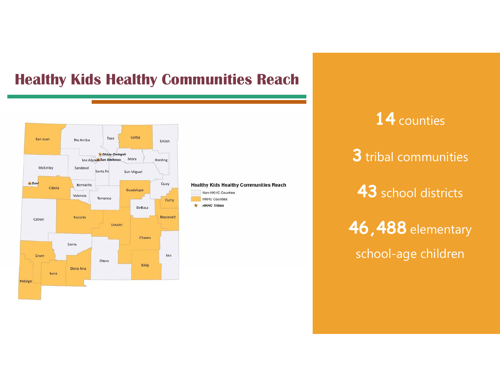## **Healthy Kids Healthy Communities Reach**



**Healthy Kids Healthy Communities Reach** Non-HKHC Counties **HKHC Counties**  $#$  HKHC Tribes

**14** counties **3** tribal communities **43** school districts **46,488** elementary school-age children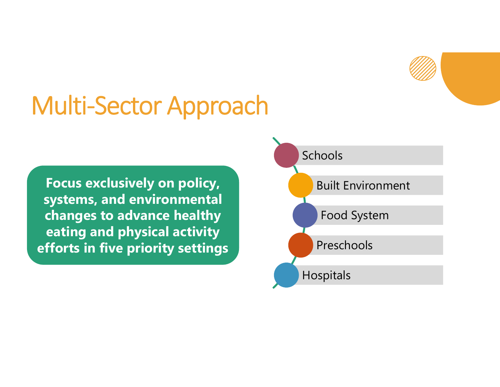

## Multi-Sector Approach

**Focus exclusively on policy, systems, and environmental changes to advance healthy eating and physical activity efforts in five priority settings**